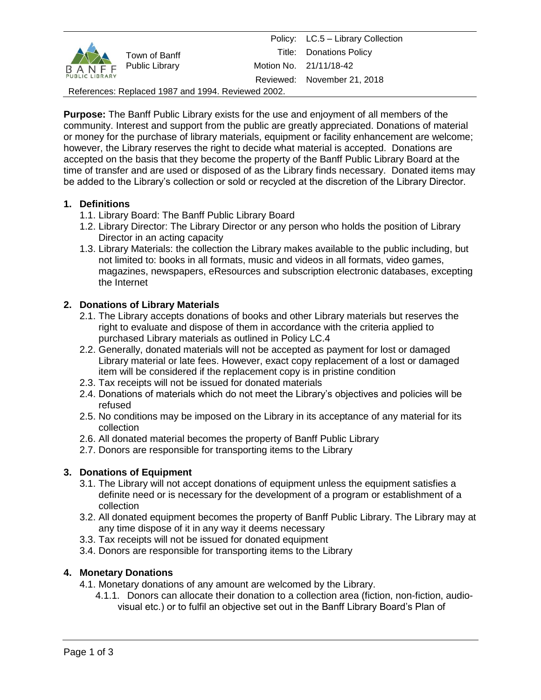| <b>PUBLIC LIBRARY</b>                              | Town of Banff<br>B A N F F Public Library |  | Policy: LC.5 - Library Collection |
|----------------------------------------------------|-------------------------------------------|--|-----------------------------------|
|                                                    |                                           |  | <b>Title:</b> Donations Policy    |
|                                                    |                                           |  | Motion No. 21/11/18-42            |
|                                                    |                                           |  | Reviewed: November 21, 2018       |
| References: Replaced 1987 and 1994. Reviewed 2002. |                                           |  |                                   |

**Purpose:** The Banff Public Library exists for the use and enjoyment of all members of the community. Interest and support from the public are greatly appreciated. Donations of material or money for the purchase of library materials, equipment or facility enhancement are welcome; however, the Library reserves the right to decide what material is accepted. Donations are accepted on the basis that they become the property of the Banff Public Library Board at the time of transfer and are used or disposed of as the Library finds necessary. Donated items may be added to the Library's collection or sold or recycled at the discretion of the Library Director.

# **1. Definitions**

- 1.1. Library Board: The Banff Public Library Board
- 1.2. Library Director: The Library Director or any person who holds the position of Library Director in an acting capacity
- 1.3. Library Materials: the collection the Library makes available to the public including, but not limited to: books in all formats, music and videos in all formats, video games, magazines, newspapers, eResources and subscription electronic databases, excepting the Internet

# **2. Donations of Library Materials**

- 2.1. The Library accepts donations of books and other Library materials but reserves the right to evaluate and dispose of them in accordance with the criteria applied to purchased Library materials as outlined in Policy LC.4
- 2.2. Generally, donated materials will not be accepted as payment for lost or damaged Library material or late fees. However, exact copy replacement of a lost or damaged item will be considered if the replacement copy is in pristine condition
- 2.3. Tax receipts will not be issued for donated materials
- 2.4. Donations of materials which do not meet the Library's objectives and policies will be refused
- 2.5. No conditions may be imposed on the Library in its acceptance of any material for its collection
- 2.6. All donated material becomes the property of Banff Public Library
- 2.7. Donors are responsible for transporting items to the Library

## **3. Donations of Equipment**

- 3.1. The Library will not accept donations of equipment unless the equipment satisfies a definite need or is necessary for the development of a program or establishment of a collection
- 3.2. All donated equipment becomes the property of Banff Public Library. The Library may at any time dispose of it in any way it deems necessary
- 3.3. Tax receipts will not be issued for donated equipment
- 3.4. Donors are responsible for transporting items to the Library

## **4. Monetary Donations**

4.1. Monetary donations of any amount are welcomed by the Library.

4.1.1. Donors can allocate their donation to a collection area (fiction, non-fiction, audiovisual etc.) or to fulfil an objective set out in the Banff Library Board's Plan of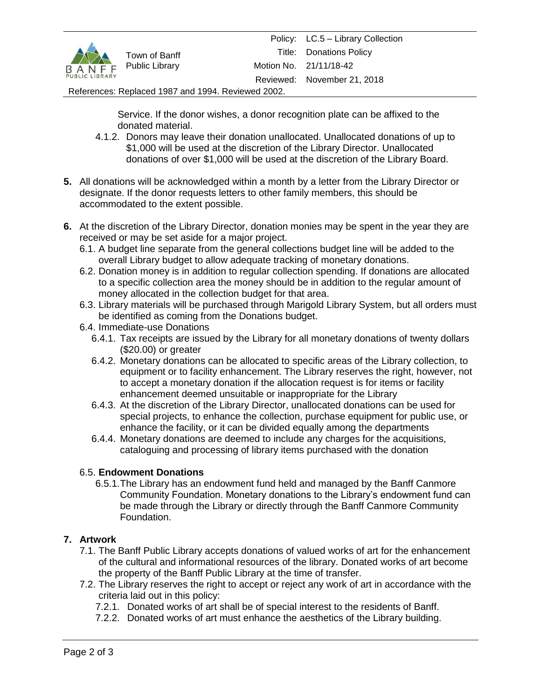

#### References: Replaced 1987 and 1994. Reviewed 2002.

Service. If the donor wishes, a donor recognition plate can be affixed to the donated material.

- 4.1.2. Donors may leave their donation unallocated. Unallocated donations of up to \$1,000 will be used at the discretion of the Library Director. Unallocated donations of over \$1,000 will be used at the discretion of the Library Board.
- **5.** All donations will be acknowledged within a month by a letter from the Library Director or designate. If the donor requests letters to other family members, this should be accommodated to the extent possible.
- **6.** At the discretion of the Library Director, donation monies may be spent in the year they are received or may be set aside for a major project.
	- 6.1. A budget line separate from the general collections budget line will be added to the overall Library budget to allow adequate tracking of monetary donations.
	- 6.2. Donation money is in addition to regular collection spending. If donations are allocated to a specific collection area the money should be in addition to the regular amount of money allocated in the collection budget for that area.
	- 6.3. Library materials will be purchased through Marigold Library System, but all orders must be identified as coming from the Donations budget.
	- 6.4. Immediate-use Donations
		- 6.4.1. Tax receipts are issued by the Library for all monetary donations of twenty dollars (\$20.00) or greater
		- 6.4.2. Monetary donations can be allocated to specific areas of the Library collection, to equipment or to facility enhancement. The Library reserves the right, however, not to accept a monetary donation if the allocation request is for items or facility enhancement deemed unsuitable or inappropriate for the Library
		- 6.4.3. At the discretion of the Library Director, unallocated donations can be used for special projects, to enhance the collection, purchase equipment for public use, or enhance the facility, or it can be divided equally among the departments
		- 6.4.4. Monetary donations are deemed to include any charges for the acquisitions, cataloguing and processing of library items purchased with the donation

### 6.5. **Endowment Donations**

6.5.1.The Library has an endowment fund held and managed by the Banff Canmore Community Foundation. Monetary donations to the Library's endowment fund can be made through the Library or directly through the Banff Canmore Community Foundation.

### **7. Artwork**

- 7.1. The Banff Public Library accepts donations of valued works of art for the enhancement of the cultural and informational resources of the library. Donated works of art become the property of the Banff Public Library at the time of transfer.
- 7.2. The Library reserves the right to accept or reject any work of art in accordance with the criteria laid out in this policy:
	- 7.2.1. Donated works of art shall be of special interest to the residents of Banff.
	- 7.2.2. Donated works of art must enhance the aesthetics of the Library building.